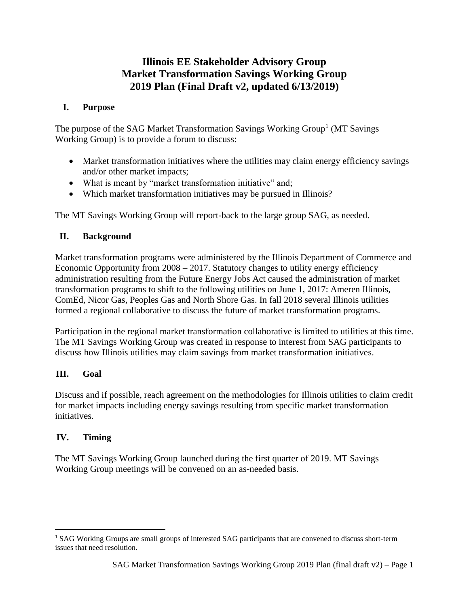# **Illinois EE Stakeholder Advisory Group Market Transformation Savings Working Group 2019 Plan (Final Draft v2, updated 6/13/2019)**

### **I. Purpose**

The purpose of the SAG Market Transformation Savings Working Group<sup>1</sup> (MT Savings Working Group) is to provide a forum to discuss:

- Market transformation initiatives where the utilities may claim energy efficiency savings and/or other market impacts;
- What is meant by "market transformation initiative" and;
- Which market transformation initiatives may be pursued in Illinois?

The MT Savings Working Group will report-back to the large group SAG, as needed.

### **II. Background**

Market transformation programs were administered by the Illinois Department of Commerce and Economic Opportunity from 2008 – 2017. Statutory changes to utility energy efficiency administration resulting from the Future Energy Jobs Act caused the administration of market transformation programs to shift to the following utilities on June 1, 2017: Ameren Illinois, ComEd, Nicor Gas, Peoples Gas and North Shore Gas. In fall 2018 several Illinois utilities formed a regional collaborative to discuss the future of market transformation programs.

Participation in the regional market transformation collaborative is limited to utilities at this time. The MT Savings Working Group was created in response to interest from SAG participants to discuss how Illinois utilities may claim savings from market transformation initiatives.

### **III. Goal**

Discuss and if possible, reach agreement on the methodologies for Illinois utilities to claim credit for market impacts including energy savings resulting from specific market transformation initiatives.

### **IV. Timing**

l

The MT Savings Working Group launched during the first quarter of 2019. MT Savings Working Group meetings will be convened on an as-needed basis.

<sup>1</sup> SAG Working Groups are small groups of interested SAG participants that are convened to discuss short-term issues that need resolution.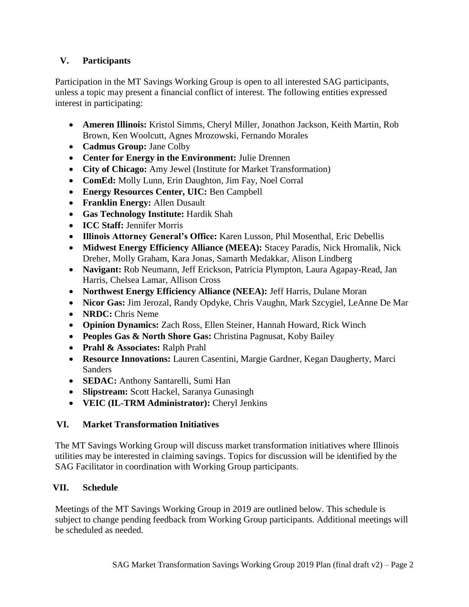# **V. Participants**

Participation in the MT Savings Working Group is open to all interested SAG participants, unless a topic may present a financial conflict of interest. The following entities expressed interest in participating:

- **Ameren Illinois:** Kristol Simms, Cheryl Miller, Jonathon Jackson, Keith Martin, Rob Brown, Ken Woolcutt, Agnes Mrozowski, Fernando Morales
- **Cadmus Group:** Jane Colby
- **Center for Energy in the Environment:** Julie Drennen
- **City of Chicago:** Amy Jewel (Institute for Market Transformation)
- **ComEd:** Molly Lunn, Erin Daughton, Jim Fay, Noel Corral
- **Energy Resources Center, UIC:** Ben Campbell
- **Franklin Energy:** Allen Dusault
- **Gas Technology Institute:** Hardik Shah
- **ICC Staff:** Jennifer Morris
- **Illinois Attorney General's Office:** Karen Lusson, Phil Mosenthal, Eric Debellis
- **Midwest Energy Efficiency Alliance (MEEA):** Stacey Paradis, Nick Hromalik, Nick Dreher, Molly Graham, Kara Jonas, Samarth Medakkar, Alison Lindberg
- **Navigant:** Rob Neumann, Jeff Erickson, Patricia Plympton, Laura Agapay-Read, Jan Harris, Chelsea Lamar, Allison Cross
- **Northwest Energy Efficiency Alliance (NEEA):** Jeff Harris, Dulane Moran
- **Nicor Gas:** Jim Jerozal, Randy Opdyke, Chris Vaughn, Mark Szcygiel, LeAnne De Mar
- **NRDC:** Chris Neme
- **Opinion Dynamics:** Zach Ross, Ellen Steiner, Hannah Howard, Rick Winch
- **Peoples Gas & North Shore Gas:** Christina Pagnusat, Koby Bailey
- **Prahl & Associates:** Ralph Prahl
- **Resource Innovations:** Lauren Casentini, Margie Gardner, Kegan Daugherty, Marci **Sanders**
- **SEDAC:** Anthony Santarelli, Sumi Han
- **Slipstream:** Scott Hackel, Saranya Gunasingh
- **VEIC (IL-TRM Administrator):** Cheryl Jenkins

# **VI. Market Transformation Initiatives**

The MT Savings Working Group will discuss market transformation initiatives where Illinois utilities may be interested in claiming savings. Topics for discussion will be identified by the SAG Facilitator in coordination with Working Group participants.

# **VII. Schedule**

Meetings of the MT Savings Working Group in 2019 are outlined below. This schedule is subject to change pending feedback from Working Group participants. Additional meetings will be scheduled as needed.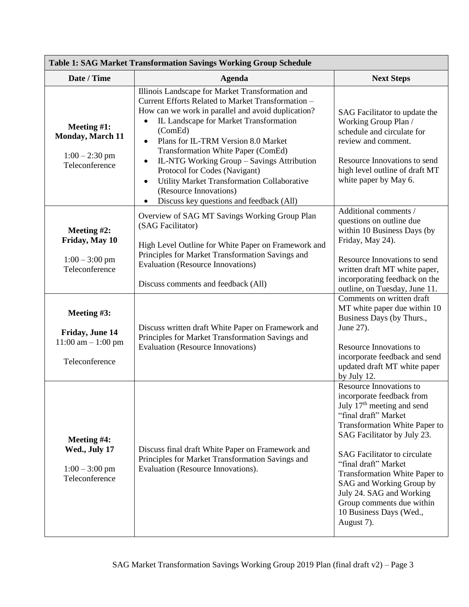| <b>Table 1: SAG Market Transformation Savings Working Group Schedule</b>   |                                                                                                                                                                                                                                                                                                                                                                                                                                                                                                                                                  |                                                                                                                                                                                                                                                                                                                                                                                                                             |  |
|----------------------------------------------------------------------------|--------------------------------------------------------------------------------------------------------------------------------------------------------------------------------------------------------------------------------------------------------------------------------------------------------------------------------------------------------------------------------------------------------------------------------------------------------------------------------------------------------------------------------------------------|-----------------------------------------------------------------------------------------------------------------------------------------------------------------------------------------------------------------------------------------------------------------------------------------------------------------------------------------------------------------------------------------------------------------------------|--|
| Date / Time                                                                | <b>Agenda</b>                                                                                                                                                                                                                                                                                                                                                                                                                                                                                                                                    | <b>Next Steps</b>                                                                                                                                                                                                                                                                                                                                                                                                           |  |
| Meeting $#1$ :<br>Monday, March 11<br>$1:00 - 2:30$ pm<br>Teleconference   | Illinois Landscape for Market Transformation and<br>Current Efforts Related to Market Transformation -<br>How can we work in parallel and avoid duplication?<br>IL Landscape for Market Transformation<br>(ComEd)<br>Plans for IL-TRM Version 8.0 Market<br>$\bullet$<br><b>Transformation White Paper (ComEd)</b><br>IL-NTG Working Group - Savings Attribution<br>$\bullet$<br>Protocol for Codes (Navigant)<br>Utility Market Transformation Collaborative<br>$\bullet$<br>(Resource Innovations)<br>Discuss key questions and feedback (All) | SAG Facilitator to update the<br>Working Group Plan /<br>schedule and circulate for<br>review and comment.<br>Resource Innovations to send<br>high level outline of draft MT<br>white paper by May 6.                                                                                                                                                                                                                       |  |
| Meeting $#2$ :<br>Friday, May 10<br>$1:00 - 3:00$ pm<br>Teleconference     | Overview of SAG MT Savings Working Group Plan<br>(SAG Facilitator)<br>High Level Outline for White Paper on Framework and<br>Principles for Market Transformation Savings and<br><b>Evaluation (Resource Innovations)</b><br>Discuss comments and feedback (All)                                                                                                                                                                                                                                                                                 | Additional comments /<br>questions on outline due<br>within 10 Business Days (by<br>Friday, May 24).<br>Resource Innovations to send<br>written draft MT white paper,<br>incorporating feedback on the<br>outline, on Tuesday, June 11.                                                                                                                                                                                     |  |
| Meeting #3:<br>Friday, June 14<br>$11:00$ am $- 1:00$ pm<br>Teleconference | Discuss written draft White Paper on Framework and<br>Principles for Market Transformation Savings and<br><b>Evaluation (Resource Innovations)</b>                                                                                                                                                                                                                                                                                                                                                                                               | Comments on written draft<br>MT white paper due within 10<br>Business Days (by Thurs.,<br>June 27).<br>Resource Innovations to<br>incorporate feedback and send<br>updated draft MT white paper<br>by July 12.                                                                                                                                                                                                              |  |
| Meeting #4:<br>Wed., July 17<br>$1:00 - 3:00$ pm<br>Teleconference         | Discuss final draft White Paper on Framework and<br>Principles for Market Transformation Savings and<br>Evaluation (Resource Innovations).                                                                                                                                                                                                                                                                                                                                                                                                       | <b>Resource Innovations to</b><br>incorporate feedback from<br>July 17 <sup>th</sup> meeting and send<br>"final draft" Market<br>Transformation White Paper to<br>SAG Facilitator by July 23.<br><b>SAG</b> Facilitator to circulate<br>"final draft" Market<br>Transformation White Paper to<br>SAG and Working Group by<br>July 24. SAG and Working<br>Group comments due within<br>10 Business Days (Wed.,<br>August 7). |  |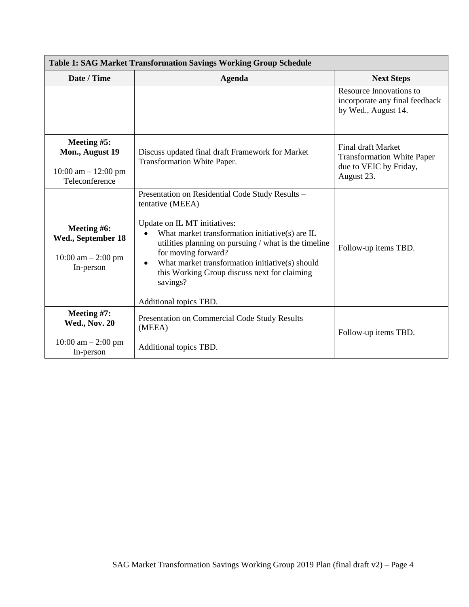| <b>Table 1: SAG Market Transformation Savings Working Group Schedule</b>  |                                                                                                                                                                                                                                                                                                                                                                                                            |                                                                                                        |  |
|---------------------------------------------------------------------------|------------------------------------------------------------------------------------------------------------------------------------------------------------------------------------------------------------------------------------------------------------------------------------------------------------------------------------------------------------------------------------------------------------|--------------------------------------------------------------------------------------------------------|--|
| Date / Time                                                               | <b>Agenda</b>                                                                                                                                                                                                                                                                                                                                                                                              | <b>Next Steps</b>                                                                                      |  |
|                                                                           |                                                                                                                                                                                                                                                                                                                                                                                                            | Resource Innovations to<br>incorporate any final feedback<br>by Wed., August 14.                       |  |
| Meeting #5:<br>Mon., August 19<br>10:00 am $- 12:00$ pm<br>Teleconference | Discuss updated final draft Framework for Market<br>Transformation White Paper.                                                                                                                                                                                                                                                                                                                            | <b>Final draft Market</b><br><b>Transformation White Paper</b><br>due to VEIC by Friday,<br>August 23. |  |
| Meeting #6:<br>Wed., September 18<br>10:00 am $-$ 2:00 pm<br>In-person    | Presentation on Residential Code Study Results -<br>tentative (MEEA)<br>Update on IL MT initiatives:<br>What market transformation initiative(s) are IL<br>$\bullet$<br>utilities planning on pursuing / what is the timeline<br>for moving forward?<br>What market transformation initiative(s) should<br>$\bullet$<br>this Working Group discuss next for claiming<br>savings?<br>Additional topics TBD. | Follow-up items TBD.                                                                                   |  |
| Meeting #7:<br><b>Wed., Nov. 20</b><br>10:00 am $-$ 2:00 pm<br>In-person  | <b>Presentation on Commercial Code Study Results</b><br>(MEEA)<br>Additional topics TBD.                                                                                                                                                                                                                                                                                                                   | Follow-up items TBD.                                                                                   |  |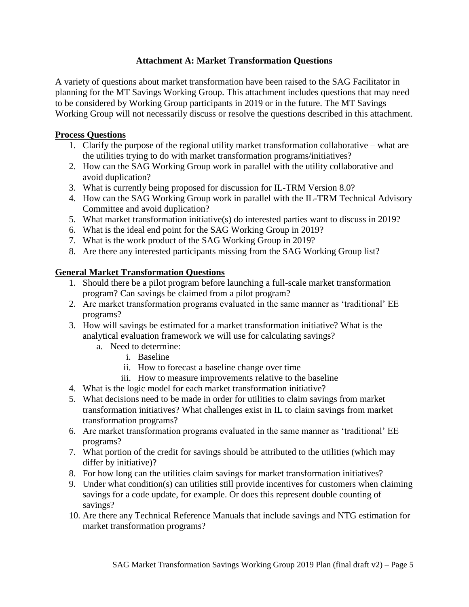### **Attachment A: Market Transformation Questions**

A variety of questions about market transformation have been raised to the SAG Facilitator in planning for the MT Savings Working Group. This attachment includes questions that may need to be considered by Working Group participants in 2019 or in the future. The MT Savings Working Group will not necessarily discuss or resolve the questions described in this attachment.

#### **Process Questions**

- 1. Clarify the purpose of the regional utility market transformation collaborative what are the utilities trying to do with market transformation programs/initiatives?
- 2. How can the SAG Working Group work in parallel with the utility collaborative and avoid duplication?
- 3. What is currently being proposed for discussion for IL-TRM Version 8.0?
- 4. How can the SAG Working Group work in parallel with the IL-TRM Technical Advisory Committee and avoid duplication?
- 5. What market transformation initiative(s) do interested parties want to discuss in 2019?
- 6. What is the ideal end point for the SAG Working Group in 2019?
- 7. What is the work product of the SAG Working Group in 2019?
- 8. Are there any interested participants missing from the SAG Working Group list?

### **General Market Transformation Questions**

- 1. Should there be a pilot program before launching a full-scale market transformation program? Can savings be claimed from a pilot program?
- 2. Are market transformation programs evaluated in the same manner as 'traditional' EE programs?
- 3. How will savings be estimated for a market transformation initiative? What is the analytical evaluation framework we will use for calculating savings?
	- a. Need to determine:
		- i. Baseline
		- ii. How to forecast a baseline change over time
		- iii. How to measure improvements relative to the baseline
- 4. What is the logic model for each market transformation initiative?
- 5. What decisions need to be made in order for utilities to claim savings from market transformation initiatives? What challenges exist in IL to claim savings from market transformation programs?
- 6. Are market transformation programs evaluated in the same manner as 'traditional' EE programs?
- 7. What portion of the credit for savings should be attributed to the utilities (which may differ by initiative)?
- 8. For how long can the utilities claim savings for market transformation initiatives?
- 9. Under what condition(s) can utilities still provide incentives for customers when claiming savings for a code update, for example. Or does this represent double counting of savings?
- 10. Are there any Technical Reference Manuals that include savings and NTG estimation for market transformation programs?